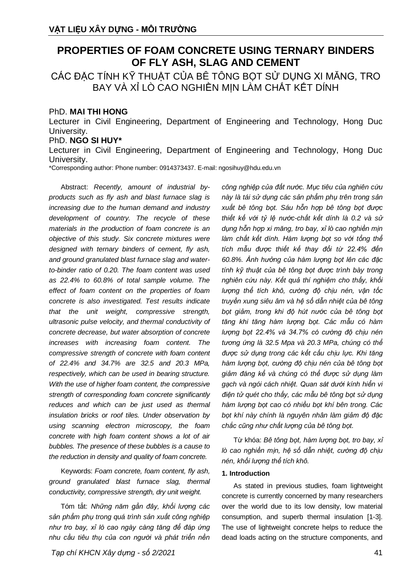# **PROPERTIES OF FOAM CONCRETE USING TERNARY BINDERS OF FLY ASH, SLAG AND CEMENT**

CÁC ĐẶC TÍNH KỸ THUẬT CỦA BỀ TÔNG BỌT SỬ DUNG XI MĂNG, TRO BAY VÀ XỈ LÒ CAO NGHIỀN MỊN LÀM CHẤT KẾT DÍNH

# PhD. **MAI THI HONG**

Lecturer in Civil Engineering, Department of Engineering and Technology, Hong Duc University.

# PhD. **NGO SI HUY\***

Lecturer in Civil Engineering, Department of Engineering and Technology, Hong Duc University.

\*Corresponding author: Phone number: 0914373437. E-mail: ngosihuy@hdu.edu.vn

Abstract: *Recently, amount of industrial byproducts such as fly ash and blast furnace slag is increasing due to the human demand and industry development of country. The recycle of these materials in the production of foam concrete is an objective of this study. Six concrete mixtures were designed with ternary binders of cement, fly ash, and ground granulated blast furnace slag and waterto-binder ratio of 0.20. The foam content was used as 22.4% to 60.8% of total sample volume. The effect of foam content on the properties of foam concrete is also investigated. Test results indicate that the unit weight, compressive strength, ultrasonic pulse velocity, and thermal conductivity of concrete decrease, but water absorption of concrete increases with increasing foam content. The compressive strength of concrete with foam content of 22.4% and 34.7% are 32.5 and 20.3 MPa, respectively, which can be used in bearing structure. With the use of higher foam content, the compressive strength of corresponding foam concrete significantly reduces and which can be just used as thermal insulation bricks or roof tiles. Under observation by using scanning electron microscopy, the foam concrete with high foam content shows a lot of air bubbles. The presence of these bubbles is a cause to the reduction in density and quality of foam concrete.*

Keywords: *Foam concrete, foam content, fly ash, ground granulated blast furnace slag, thermal conductivity, compressive strength, dry unit weight.*

Tóm tắt: *Những năm gần đây, khối lượng các sản phẩm phụ trong quá trình sản xuất công nghiệp như tro bay, xỉ lò cao ngày càng tăng để đáp ứng nhu cầu tiêu thụ của con người và phát triển nền* 

*Tạp chí KHCN Xây dựng - số 2/2021* 41

*công nghiệp của đất nước. Mục tiêu của nghiên cứu này là tái sử dụng các sản phẩm phụ trên trong sản xuất bê tông bọt. Sáu hỗn hợp bê tông bọt được thiết kế với tỷ lệ nước-chất kết dính là 0.2 và sử dụng hỗn hợp xi măng, tro bay, xỉ lò cao nghiền mịn làm chất kết dính. Hàm lượng bọt so với tổng thể tích mẫu được thiết kế thay đổi từ 22.4% đến 60.8%. Ảnh hưởng của hàm lượng bọt lên các đặc tính kỹ thuật của bê tông bọt được trình bày trong nghiên cứu này. Kết quả thí nghiệm cho thấy, khối lượng thể tích khô, cường độ chịu nén, vận tốc truyền xung siêu âm và hệ số dẫn nhiệt của bê tông bọt giảm, trong khi độ hút nước của bê tông bọt tăng khi tăng hàm lượng bọt. Các mẫu có hàm lượng bọt 22.4% và 34.7% có cường độ chịu nén tương ứng là 32.5 Mpa và 20.3 MPa, chúng có thể được sử dụng trong các kết cấu chịu lực. Khi tăng hàm lượng bọt, cường độ chịu nén của bê tông bọt giảm đáng kể và chúng có thể được sử dụng làm gạch và ngói cách nhiệt. Quan sát dưới kính hiển vi điện tử quét cho thấy, các mẫu bê tông bọt sử dụng hàm lượng bọt cao có nhiều bọt khí bên trong. Các bọt khí này chính là nguyên nhân làm giảm độ đặc chắc cũng như chất lượng của bê tông bọt.*

Từ khóa: *Bê tông bọt, hàm lượng bọt, tro bay, xỉ lò cao nghiền mịn, hệ số dẫn nhiệt, cường độ chịu nén, khối lượng thể tích khô.*

#### **1. Introduction**

As stated in previous studies, foam lightweight concrete is currently concerned by many researchers over the world due to its low density, low material consumption, and superb thermal insulation [1-3]. The use of lightweight concrete helps to reduce the dead loads acting on the structure components, and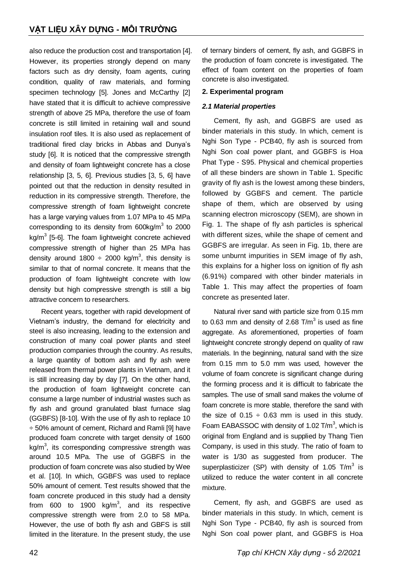also reduce the production cost and transportation [4]. However, its properties strongly depend on many factors such as dry density, foam agents, curing condition, quality of raw materials, and forming specimen technology [5]. Jones and McCarthy [2] have stated that it is difficult to achieve compressive strength of above 25 MPa, therefore the use of foam concrete is still limited in retaining wall and sound insulation roof tiles. It is also used as replacement of traditional fired clay bricks in Abbas and Dunya's study [6]. It is noticed that the compressive strength and density of foam lightweight concrete has a close relationship [3, 5, 6]. Previous studies [3, 5, 6] have pointed out that the reduction in density resulted in reduction in its compressive strength. Therefore, the compressive strength of foam lightweight concrete has a large varying values from 1.07 MPa to 45 MPa corresponding to its density from  $600$ kg/m<sup>3</sup> to 2000 kg/m<sup>3</sup> [5-6]. The foam lightweight concrete achieved compressive strength of higher than 25 MPa has density around 1800  $\div$  2000 kg/m<sup>3</sup>, this density is similar to that of normal concrete. It means that the production of foam lightweight concrete with low density but high compressive strength is still a big attractive concern to researchers.

Recent years, together with rapid development of Vietnam's industry, the demand for electricity and steel is also increasing, leading to the extension and construction of many coal power plants and steel production companies through the country. As results, a large quantity of bottom ash and fly ash were released from thermal power plants in Vietnam, and it is still increasing day by day [7]. On the other hand, the production of foam lightweight concrete can consume a large number of industrial wastes such as fly ash and ground granulated blast furnace slag (GGBFS) [8-10]. With the use of fly ash to replace 10 ÷ 50% amount of cement, Richard and Ramli [9] have produced foam concrete with target density of 1600 kg/m<sup>3</sup>, its corresponding compressive strength was around 10.5 MPa. The use of GGBFS in the production of foam concrete was also studied by Wee et al. [10]. In which, GGBFS was used to replace 50% amount of cement. Test results showed that the foam concrete produced in this study had a density from 600 to 1900  $kg/m^3$ , and its respective compressive strength were from 2.0 to 58 MPa. However, the use of both fly ash and GBFS is still limited in the literature. In the present study, the use

of ternary binders of cement, fly ash, and GGBFS in the production of foam concrete is investigated. The effect of foam content on the properties of foam concrete is also investigated.

## **2. Experimental program**

# *2.1 Material properties*

Cement, fly ash, and GGBFS are used as binder materials in this study. In which, cement is Nghi Son Type - PCB40, fly ash is sourced from Nghi Son coal power plant, and GGBFS is Hoa Phat Type - S95. Physical and chemical properties of all these binders are shown in Table 1. Specific gravity of fly ash is the lowest among these binders, followed by GGBFS and cement. The particle shape of them, which are observed by using scanning electron microscopy (SEM), are shown in Fig. 1. The shape of fly ash particles is spherical with different sizes, while the shape of cement and GGBFS are irregular. As seen in Fig. 1b, there are some unburnt impurities in SEM image of fly ash, this explains for a higher loss on ignition of fly ash (6.91%) compared with other binder materials in Table 1. This may affect the properties of foam concrete as presented later.

Natural river sand with particle size from 0.15 mm to 0.63 mm and density of 2.68 T/m<sup>3</sup> is used as fine aggregate. As aforementioned, properties of foam lightweight concrete strongly depend on quality of raw materials. In the beginning, natural sand with the size from 0.15 mm to 5.0 mm was used, however the volume of foam concrete is significant change during the forming process and it is difficult to fabricate the samples. The use of small sand makes the volume of foam concrete is more stable, therefore the sand with the size of  $0.15 \div 0.63$  mm is used in this study. Foam EABASSOC with density of 1.02  $T/m^3$ , which is original from England and is supplied by Thang Tien Company, is used in this study. The ratio of foam to water is 1/30 as suggested from producer. The superplasticizer (SP) with density of 1.05  $T/m^3$  is utilized to reduce the water content in all concrete mixture.

Cement, fly ash, and GGBFS are used as binder materials in this study. In which, cement is Nghi Son Type - PCB40, fly ash is sourced from Nghi Son coal power plant, and GGBFS is Hoa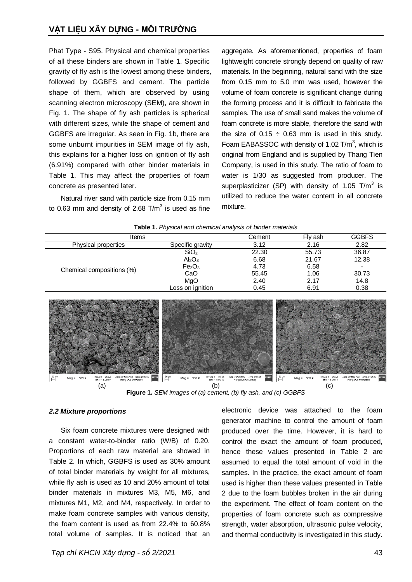Phat Type - S95. Physical and chemical properties of all these binders are shown in Table 1. Specific gravity of fly ash is the lowest among these binders, followed by GGBFS and cement. The particle shape of them, which are observed by using scanning electron microscopy (SEM), are shown in Fig. 1. The shape of fly ash particles is spherical with different sizes, while the shape of cement and GGBFS are irregular. As seen in Fig. 1b, there are some unburnt impurities in SEM image of fly ash, this explains for a higher loss on ignition of fly ash (6.91%) compared with other binder materials in Table 1. This may affect the properties of foam concrete as presented later.

Natural river sand with particle size from 0.15 mm to 0.63 mm and density of 2.68 T/m<sup>3</sup> is used as fine aggregate. As aforementioned, properties of foam lightweight concrete strongly depend on quality of raw materials. In the beginning, natural sand with the size from 0.15 mm to 5.0 mm was used, however the volume of foam concrete is significant change during the forming process and it is difficult to fabricate the samples. The use of small sand makes the volume of foam concrete is more stable, therefore the sand with the size of  $0.15 \div 0.63$  mm is used in this study. Foam EABASSOC with density of 1.02  $T/m^3$ , which is original from England and is supplied by Thang Tien Company, is used in this study. The ratio of foam to water is 1/30 as suggested from producer. The superplasticizer (SP) with density of 1.05 T/m<sup>3</sup> is utilized to reduce the water content in all concrete mixture.

| Table 1. Physical and chemical analysis of binder materials |  |
|-------------------------------------------------------------|--|
|                                                             |  |



**Figure 1.** *SEM images of (a) cement, (b) fly ash, and (c) GGBFS*

#### *2.2 Mixture proportions*

Six foam concrete mixtures were designed with a constant water-to-binder ratio (W/B) of 0.20. Proportions of each raw material are showed in Table 2. In which, GGBFS is used as 30% amount of total binder materials by weight for all mixtures, while fly ash is used as 10 and 20% amount of total binder materials in mixtures M3, M5, M6, and mixtures M1, M2, and M4, respectively. In order to make foam concrete samples with various density, the foam content is used as from 22.4% to 60.8% total volume of samples. It is noticed that an

electronic device was attached to the foam generator machine to control the amount of foam produced over the time. However, it is hard to control the exact the amount of foam produced, hence these values presented in Table 2 are assumed to equal the total amount of void in the samples. In the practice, the exact amount of foam used is higher than these values presented in Table 2 due to the foam bubbles broken in the air during the experiment. The effect of foam content on the properties of foam concrete such as compressive strength, water absorption, ultrasonic pulse velocity, and thermal conductivity is investigated in this study.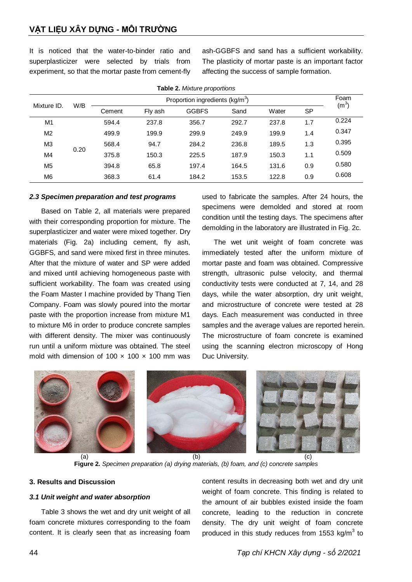It is noticed that the water-to-binder ratio and superplasticizer were selected by trials from experiment, so that the mortar paste from cement-fly

ash-GGBFS and sand has a sufficient workability. The plasticity of mortar paste is an important factor affecting the success of sample formation.

| <b>Table 2.</b> Mixture proportions |      |                                             |         |              |       |       |           |                           |
|-------------------------------------|------|---------------------------------------------|---------|--------------|-------|-------|-----------|---------------------------|
| Mixture ID.                         | W/B  | Proportion ingredients (kg/m <sup>3</sup> ) |         |              |       |       |           | Foam<br>(m <sup>3</sup> ) |
|                                     |      | Cement                                      | Fly ash | <b>GGBFS</b> | Sand  | Water | <b>SP</b> |                           |
| M1                                  |      | 594.4                                       | 237.8   | 356.7        | 292.7 | 237.8 | 1.7       | 0.224                     |
| M <sub>2</sub>                      |      | 499.9                                       | 199.9   | 299.9        | 249.9 | 199.9 | 1.4       | 0.347                     |
| M3                                  |      | 568.4                                       | 94.7    | 284.2        | 236.8 | 189.5 | 1.3       | 0.395                     |
| M4                                  | 0.20 | 375.8                                       | 150.3   | 225.5        | 187.9 | 150.3 | 1.1       | 0.509                     |
| M <sub>5</sub>                      |      | 394.8                                       | 65.8    | 197.4        | 164.5 | 131.6 | 0.9       | 0.580                     |
| M <sub>6</sub>                      |      | 368.3                                       | 61.4    | 184.2        | 153.5 | 122.8 | 0.9       | 0.608                     |

**Table 2.** *Mixture proportions*

#### *2.3 Specimen preparation and test programs*

Based on Table 2, all materials were prepared with their corresponding proportion for mixture. The superplasticizer and water were mixed together. Dry materials (Fig. 2a) including cement, fly ash, GGBFS, and sand were mixed first in three minutes. After that the mixture of water and SP were added and mixed until achieving homogeneous paste with sufficient workability. The foam was created using the Foam Master I machine provided by Thang Tien Company. Foam was slowly poured into the mortar paste with the proportion increase from mixture M1 to mixture M6 in order to produce concrete samples with different density. The mixer was continuously run until a uniform mixture was obtained. The steel mold with dimension of 100  $\times$  100  $\times$  100 mm was

used to fabricate the samples. After 24 hours, the specimens were demolded and stored at room condition until the testing days. The specimens after demolding in the laboratory are illustrated in Fig. 2c.

The wet unit weight of foam concrete was immediately tested after the uniform mixture of mortar paste and foam was obtained. Compressive strength, ultrasonic pulse velocity, and thermal conductivity tests were conducted at 7, 14, and 28 days, while the water absorption, dry unit weight, and microstructure of concrete were tested at 28 days. Each measurement was conducted in three samples and the average values are reported herein. The microstructure of foam concrete is examined using the scanning electron microscopy of Hong Duc University.



**Figure 2.** *Specimen preparation (a) drying materials, (b) foam, and (c) concrete samples*

### **3. Results and Discussion**

#### *3.1 Unit weight and water absorption*

Table 3 shows the wet and dry unit weight of all foam concrete mixtures corresponding to the foam content. It is clearly seen that as increasing foam content results in decreasing both wet and dry unit weight of foam concrete. This finding is related to the amount of air bubbles existed inside the foam concrete, leading to the reduction in concrete density. The dry unit weight of foam concrete produced in this study reduces from 1553 kg/m<sup>3</sup> to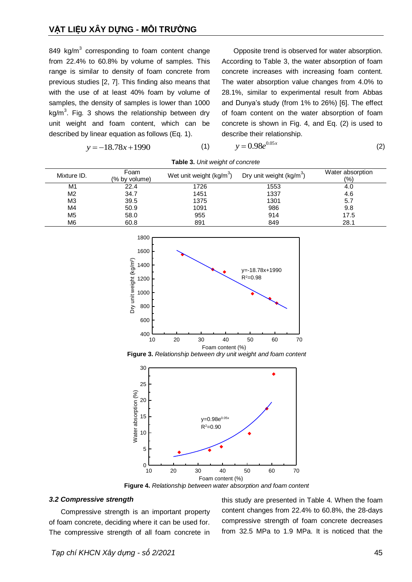849 kg/m $3$  corresponding to foam content change from 22.4% to 60.8% by volume of samples. This range is similar to density of foam concrete from previous studies [2, 7]. This finding also means that with the use of at least 40% foam by volume of samples, the density of samples is lower than 1000 kg/m<sup>3</sup>. Fig. 3 shows the relationship between dry unit weight and foam content, which can be described by linear equation as follows (Eq. 1).

 $y = -18.78x + 1990$  (1)

Opposite trend is observed for water absorption. According to Table 3, the water absorption of foam concrete increases with increasing foam content. The water absorption value changes from 4.0% to 28.1%, similar to experimental result from Abbas and Dunya's study (from 1% to 26%) [6]. The effect of foam content on the water absorption of foam concrete is shown in Fig. 4, and Eq. (2) is used to describe their relationship.

$$
y=0.98e^{0.05x}
$$

(2)

| <b>TUDIO OF OTHER DIGITE OF COLLOI OLD</b> |                           |                           |      |      |  |  |  |
|--------------------------------------------|---------------------------|---------------------------|------|------|--|--|--|
| Mixture ID.                                | Dry unit weight $(kg/m3)$ | Water absorption<br>(9/0) |      |      |  |  |  |
| M1                                         | 22.4                      | 1726                      | 1553 | 4.0  |  |  |  |
| M <sub>2</sub>                             | 34.7                      | 1451                      | 1337 | 4.6  |  |  |  |
| M3                                         | 39.5                      | 1375                      | 1301 | 5.7  |  |  |  |
| M4                                         | 50.9                      | 1091                      | 986  | 9.8  |  |  |  |
| M <sub>5</sub>                             | 58.0                      | 955                       | 914  | 17.5 |  |  |  |
| M6                                         | 60.8                      | 891                       | 849  | 28.1 |  |  |  |

**Table 3.** *Unit weight of concrete*



**Figure 3.** *Relationship between dry unit weight and foam content*



**Figure 4.** *Relationship between water absorption and foam content*

#### *3.2 Compressive strength*

Compressive strength is an important property of foam concrete, deciding where it can be used for. The compressive strength of all foam concrete in this study are presented in Table 4. When the foam content changes from 22.4% to 60.8%, the 28-days compressive strength of foam concrete decreases from 32.5 MPa to 1.9 MPa. It is noticed that the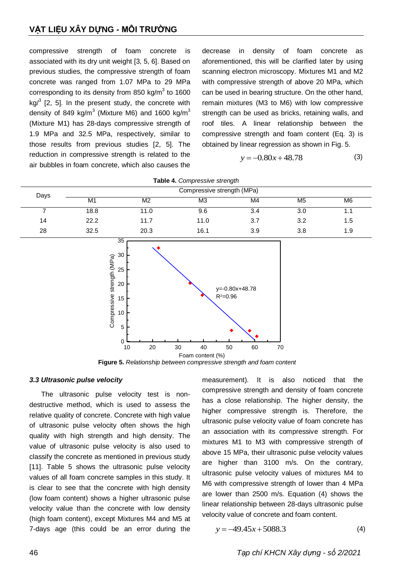# **VẬT LIỆU XÂY DỰNG - MÔI TRƯỜNG**

compressive strength of foam concrete is associated with its dry unit weight [3, 5, 6]. Based on previous studies, the compressive strength of foam concrete was ranged from 1.07 MPa to 29 MPa corresponding to its density from 850 kg/m<sup>3</sup> to 1600 kg $\beta$  [2, 5]. In the present study, the concrete with density of 849 kg/m<sup>3</sup> (Mixture M6) and 1600 kg/m<sup>3</sup> (Mixture M1) has 28-days compressive strength of 1.9 MPa and 32.5 MPa, respectively, similar to those results from previous studies [2, 5]. The reduction in compressive strength is related to the air bubbles in foam concrete, which also causes the

decrease in density of foam concrete as aforementioned, this will be clarified later by using scanning electron microscopy. Mixtures M1 and M2 with compressive strength of above 20 MPa, which can be used in bearing structure. On the other hand, remain mixtures (M3 to M6) with low compressive strength can be used as bricks, retaining walls, and roof tiles. A linear relationship between the compressive strength and foam content (Eq. 3) is obtained by linear regression as shown in Fig. 5.

$$
y = -0.80x + 48.78
$$
 (3)

|      |                            |                                                                                                                                                   | <b>Table 4.</b> Complessive strength             |                            |                |     |  |
|------|----------------------------|---------------------------------------------------------------------------------------------------------------------------------------------------|--------------------------------------------------|----------------------------|----------------|-----|--|
| Days | Compressive strength (MPa) |                                                                                                                                                   |                                                  |                            |                |     |  |
|      | M1                         | M <sub>2</sub>                                                                                                                                    | M3                                               | M4                         | M <sub>5</sub> | M6  |  |
| 7    | 18.8                       | 11.0                                                                                                                                              | 9.6                                              | 3.4                        | 3.0            | 1.1 |  |
| 14   | 22.2                       | 11.7                                                                                                                                              | 11.0                                             | 3.7                        | 3.2            | 1.5 |  |
| 28   | 32.5                       | 20.3                                                                                                                                              | 16.1                                             | 3.9                        | 3.8            | 1.9 |  |
|      | Compressive strength (MPa) | 30<br>25<br>20<br>15<br>10 <sup>°</sup><br>5<br>$\mathbf 0$<br>$10$<br>20<br>Figure 5. Relationship between compressive strength and foam content | $R^2 = 0.96$<br>$30\,$<br>40<br>Foam content (%) | y=-0.80x+48.78<br>50<br>60 | 70             |     |  |

**Table 4.** *Compressive strength*

#### *3.3 Ultrasonic pulse velocity*

The ultrasonic pulse velocity test is nondestructive method, which is used to assess the relative quality of concrete. Concrete with high value of ultrasonic pulse velocity often shows the high quality with high strength and high density. The value of ultrasonic pulse velocity is also used to classify the concrete as mentioned in previous study [11]. Table 5 shows the ultrasonic pulse velocity values of all foam concrete samples in this study. It is clear to see that the concrete with high density (low foam content) shows a higher ultrasonic pulse velocity value than the concrete with low density (high foam content), except Mixtures M4 and M5 at 7-days age (this could be an error during the

measurement). It is also noticed that the compressive strength and density of foam concrete has a close relationship. The higher density, the higher compressive strength is. Therefore, the ultrasonic pulse velocity value of foam concrete has an association with its compressive strength. For mixtures M1 to M3 with compressive strength of above 15 MPa, their ultrasonic pulse velocity values are higher than 3100 m/s. On the contrary, ultrasonic pulse velocity values of mixtures M4 to M6 with compressive strength of lower than 4 MPa are lower than 2500 m/s. Equation (4) shows the linear relationship between 28-days ultrasonic pulse velocity value of concrete and foam content.

$$
y = -49.45x + 5088.3
$$
 (4)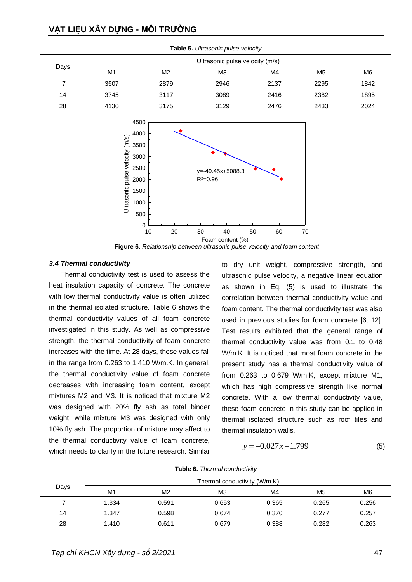# **VẬT LIỆU XÂY DỰNG - MÔI TRƯỜNG**

|      | Ultrasonic pulse velocity (m/s) |                |                |      |                |      |  |
|------|---------------------------------|----------------|----------------|------|----------------|------|--|
| Days | M1                              | M <sub>2</sub> | M <sub>3</sub> | M4   | M <sub>5</sub> | M6   |  |
|      | 3507                            | 2879           | 2946           | 2137 | 2295           | 1842 |  |
| 14   | 3745                            | 3117           | 3089           | 2416 | 2382           | 1895 |  |
| 28   | 4130                            | 3175           | 3129           | 2476 | 2433           | 2024 |  |

**Table 5.** *Ultrasonic pulse velocity*



**Figure 6.** *Relationship between ultrasonic pulse velocity and foam content*

#### *3.4 Thermal conductivity*

Thermal conductivity test is used to assess the heat insulation capacity of concrete. The concrete with low thermal conductivity value is often utilized in the thermal isolated structure. Table 6 shows the thermal conductivity values of all foam concrete investigated in this study. As well as compressive strength, the thermal conductivity of foam concrete increases with the time. At 28 days, these values fall in the range from 0.263 to 1.410 W/m.K. In general, the thermal conductivity value of foam concrete decreases with increasing foam content, except mixtures M2 and M3. It is noticed that mixture M2 was designed with 20% fly ash as total binder weight, while mixture M3 was designed with only 10% fly ash. The proportion of mixture may affect to the thermal conductivity value of foam concrete, which needs to clarify in the future research. Similar

to dry unit weight, compressive strength, and ultrasonic pulse velocity, a negative linear equation as shown in Eq. (5) is used to illustrate the correlation between thermal conductivity value and foam content. The thermal conductivity test was also used in previous studies for foam concrete [6, 12]. Test results exhibited that the general range of thermal conductivity value was from 0.1 to 0.48 W/m.K. It is noticed that most foam concrete in the present study has a thermal conductivity value of from 0.263 to 0.679 W/m.K, except mixture M1, which has high compressive strength like normal concrete. With a low thermal conductivity value, these foam concrete in this study can be applied in thermal isolated structure such as roof tiles and thermal insulation walls.

$$
y = -0.027x + 1.799\tag{5}
$$

|  |  | Table 6. Thermal conductivity |
|--|--|-------------------------------|
|--|--|-------------------------------|

|      | Thermal conductivity (W/m.K) |                |                |       |                |                |  |
|------|------------------------------|----------------|----------------|-------|----------------|----------------|--|
| Days | M1                           | M <sub>2</sub> | M <sub>3</sub> | M4    | M <sub>5</sub> | M <sub>6</sub> |  |
|      | 1.334                        | 0.591          | 0.653          | 0.365 | 0.265          | 0.256          |  |
| 14   | 1.347                        | 0.598          | 0.674          | 0.370 | 0.277          | 0.257          |  |
| 28   | 1.410                        | 0.611          | 0.679          | 0.388 | 0.282          | 0.263          |  |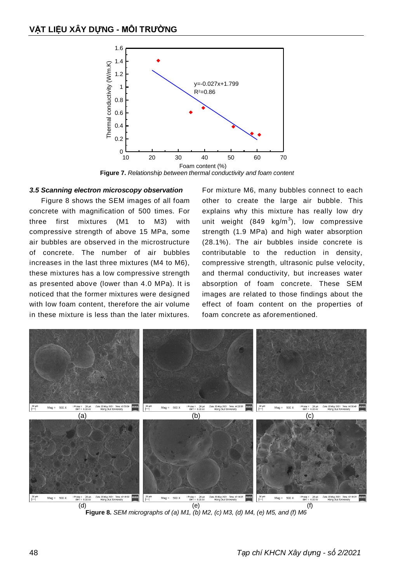

**Figure 7.** *Relationship between thermal conductivity and foam content*

#### *3.5 Scanning electron microscopy observation*

Figure 8 shows the SEM images of all foam concrete with magnification of 500 times. For three first mixtures (M1 to M3) with compressive strength of above 15 MPa, some air bubbles are observed in the microstructure of concrete. The number of air bubbles increases in the last three mixtures (M4 to M6), these mixtures has a low compressive strength as presented above (lower than 4.0 MPa). It is noticed that the former mixtures were designed with low foam content, therefore the air volume in these mixture is less than the later mixtures.

For mixture M6, many bubbles connect to each other to create the large air bubble. This explains why this mixture has really low dry unit weight (849  $kg/m<sup>3</sup>$ ), low compressive strength (1.9 MPa) and high water absorption (28.1%). The air bubbles inside concrete is contributable to the reduction in density, compressive strength, ultrasonic pulse velocity, and thermal conductivity, but increases water absorption of foam concrete. These SEM images are related to those findings about the effect of foam content on the properties of foam concrete as aforementioned.



**Figure 8.** *SEM micrographs of (a) M1, (b) M2, (c) M3, (d) M4, (e) M5, and (f) M6*